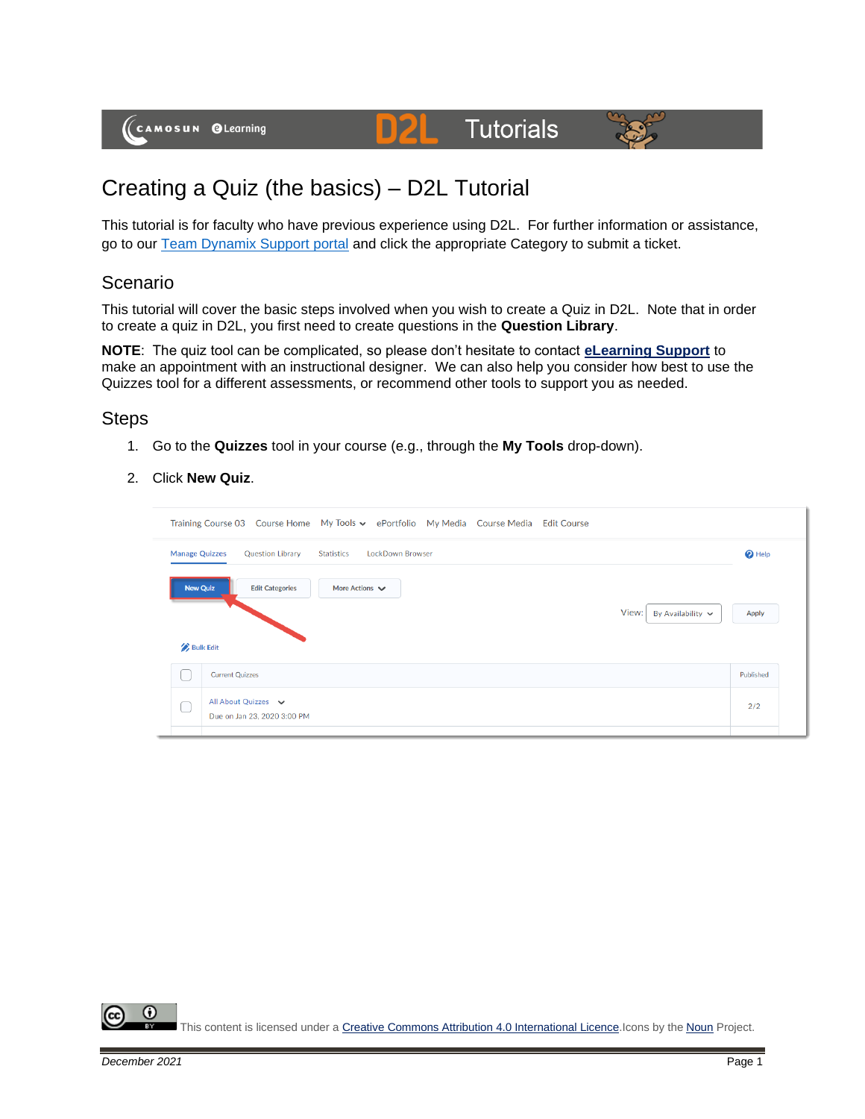(CAMOSUN @Learning

# Creating a Quiz (the basics) – D2L Tutorial

This tutorial is for faculty who have previous experience using D2L. For further information or assistance, go to our [Team Dynamix Support portal](https://camosun.teamdynamix.com/TDClient/67/Portal/Requests/ServiceCatalog?CategoryID=523) and click the appropriate Category to submit a ticket.

**D2L** Tutorials

### Scenario

This tutorial will cover the basic steps involved when you wish to create a Quiz in D2L. Note that in order to create a quiz in D2L, you first need to create questions in the **Question Library**.

**NOTE**: The quiz tool can be complicated, so please don't hesitate to contact **[eLearning Support](mailto:desupport@camosun.ca)** to make an appointment with an instructional designer. We can also help you consider how best to use the Quizzes tool for a different assessments, or recommend other tools to support you as needed.

### **Steps**

- 1. Go to the **Quizzes** tool in your course (e.g., through the **My Tools** drop-down).
- 2. Click **New Quiz**.

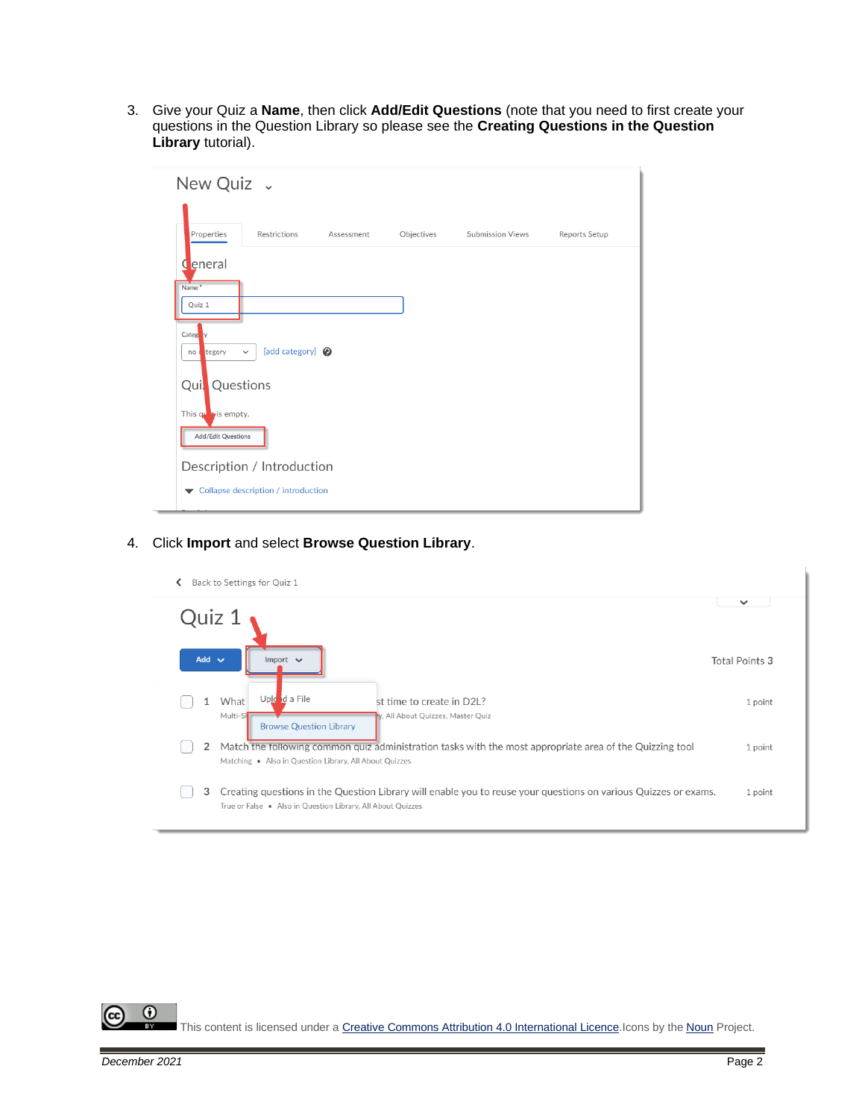3. Give your Quiz a **Name**, then click **Add/Edit Questions** (note that you need to first create your questions in the Question Library so please see the **Creating Questions in the Question Library** tutorial).

| New Quiz .                                     |                                            |            |            |                         |               |
|------------------------------------------------|--------------------------------------------|------------|------------|-------------------------|---------------|
| Properties                                     | Restrictions                               | Assessment | Objectives | <b>Submission Views</b> | Reports Setup |
| eneral                                         |                                            |            |            |                         |               |
| Name <sup>*</sup><br>Quiz 1                    |                                            |            |            |                         |               |
| Categ <sup>y</sup> y<br>no d tegory            | [add category] <sup>2</sup><br>$\check{~}$ |            |            |                         |               |
| Quil Questions<br>This $q\mathbf{v}$ is empty. |                                            |            |            |                         |               |
| Add/Edit Questions                             |                                            |            |            |                         |               |
|                                                | Description / Introduction                 |            |            |                         |               |
| $\overline{\phantom{a}}$                       | Collapse description / introduction        |            |            |                         |               |

#### 4. Click **Import** and select **Browse Question Library**.



This content is licensed under [a Creative Commons Attribution 4.0 International Licence.I](https://creativecommons.org/licenses/by/4.0/)cons by the [Noun](https://creativecommons.org/website-icons/) Project.

0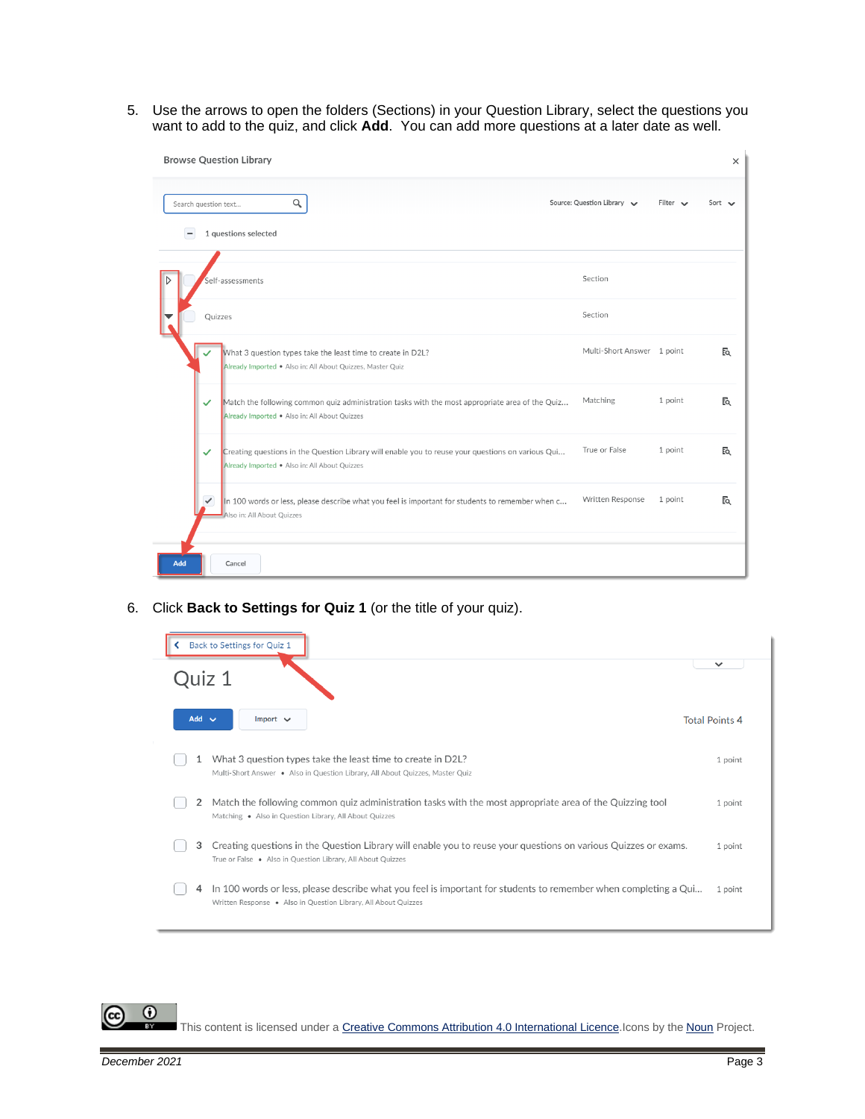5. Use the arrows to open the folders (Sections) in your Question Library, select the questions you want to add to the quiz, and click **Add**. You can add more questions at a later date as well.

| <b>Browse Question Library</b>                                                                                                                          |                            |                       | $\times$ |
|---------------------------------------------------------------------------------------------------------------------------------------------------------|----------------------------|-----------------------|----------|
| Q<br>Search question text                                                                                                                               | Source: Question Library   | Filter $\sim$<br>Sort |          |
| 1 questions selected                                                                                                                                    |                            |                       |          |
| Self-assessments                                                                                                                                        | Section                    |                       |          |
| Quizzes                                                                                                                                                 | Section                    |                       |          |
| What 3 question types take the least time to create in D2L?<br>Already Imported . Also in: All About Quizzes, Master Quiz                               | Multi-Short Answer 1 point |                       | EQ       |
| Match the following common quiz administration tasks with the most appropriate area of the Quiz<br>✓<br>Already Imported . Also in: All About Quizzes   | Matching                   | 1 point               | EQ       |
| Creating questions in the Question Library will enable you to reuse your questions on various Qui<br>✓<br>Already Imported . Also in: All About Quizzes | True or False              | 1 point               | Eq       |
| $\checkmark$<br>In 100 words or less, please describe what you feel is important for students to remember when c<br>Also in: All About Quizzes          | Written Response           | 1 point               | Eq       |
| Add<br>Cancel                                                                                                                                           |                            |                       |          |

6. Click **Back to Settings for Quiz 1** (or the title of your quiz).

| Back to Settings for Quiz 1                                                                                                                                                            |                       |
|----------------------------------------------------------------------------------------------------------------------------------------------------------------------------------------|-----------------------|
| Quiz 1                                                                                                                                                                                 | $\checkmark$          |
| $Add \vee$<br>Import $\vee$                                                                                                                                                            | <b>Total Points 4</b> |
| What 3 question types take the least time to create in D2L?<br>Multi-Short Answer . Also in Question Library, All About Quizzes, Master Quiz                                           | 1 point               |
| Match the following common quiz administration tasks with the most appropriate area of the Quizzing tool<br>2<br>Matching . Also in Question Library, All About Quizzes                | 1 point               |
| Creating questions in the Question Library will enable you to reuse your questions on various Quizzes or exams.<br>3<br>True or False . Also in Question Library, All About Quizzes    | 1 point               |
| In 100 words or less, please describe what you feel is important for students to remember when completing a Qui<br>4<br>Written Response . Also in Question Library, All About Quizzes | 1 point               |

 $\odot$ 

This content is licensed under [a Creative Commons Attribution 4.0 International Licence.I](https://creativecommons.org/licenses/by/4.0/)cons by the [Noun](https://creativecommons.org/website-icons/) Project.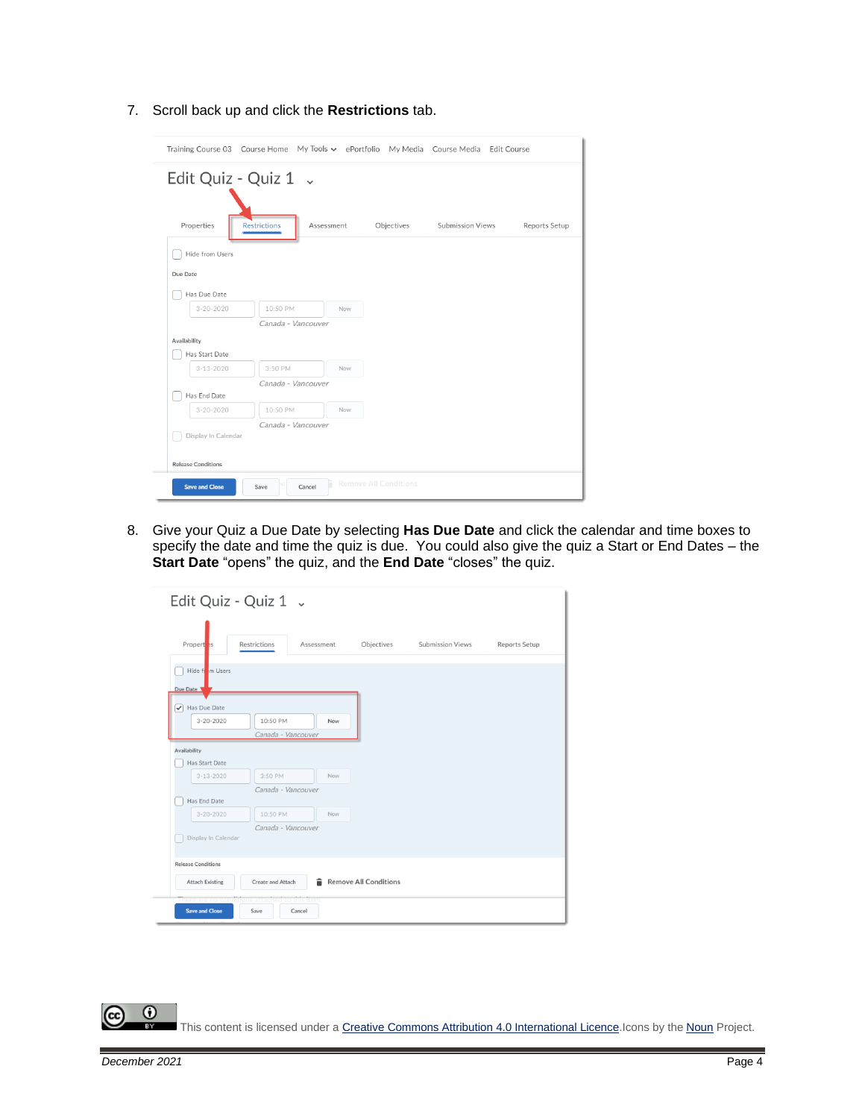7. Scroll back up and click the **Restrictions** tab.

| Properties      | <b>Restrictions</b> | Assessment | Objectives | Submission Views | Reports Setup |
|-----------------|---------------------|------------|------------|------------------|---------------|
| Hide from Users |                     |            |            |                  |               |
| Due Date        |                     |            |            |                  |               |
| Has Due Date    |                     |            |            |                  |               |
| $3 - 20 - 2020$ | 10:50 PM            | Now        |            |                  |               |
|                 | Canada - Vancouver  |            |            |                  |               |
| Availability    |                     |            |            |                  |               |
| Has Start Date  |                     |            |            |                  |               |
| $3 - 13 - 2020$ | 3:50 PM             | Now        |            |                  |               |
|                 | Canada - Vancouver  |            |            |                  |               |
| Has End Date    |                     |            |            |                  |               |
| $3 - 20 - 2020$ | 10:50 PM            | Now        |            |                  |               |
|                 | Canada - Vancouver  |            |            |                  |               |

8. Give your Quiz a Due Date by selecting **Has Due Date** and click the calendar and time boxes to specify the date and time the quiz is due. You could also give the quiz a Start or End Dates – the **Start Date** "opens" the quiz, and the **End Date** "closes" the quiz.

| Edit Quiz - Quiz 1 v                           |                                |            |                              |                         |               |
|------------------------------------------------|--------------------------------|------------|------------------------------|-------------------------|---------------|
| Propert <sub>2s</sub>                          | Restrictions                   | Assessment | Objectives                   | <b>Submission Views</b> | Reports Setup |
| Hide from Users<br>Due Date                    |                                |            |                              |                         |               |
| Has Due Date<br>$3 - 20 - 2020$                | 10:50 PM<br>Canada - Vancouver | Now        |                              |                         |               |
| Availability                                   |                                |            |                              |                         |               |
| Has Start Date                                 |                                |            |                              |                         |               |
| $3 - 13 - 2020$                                | 3:50 PM                        | Now        |                              |                         |               |
| Has End Date                                   | Canada - Vancouver             |            |                              |                         |               |
| $3 - 20 - 2020$                                | 10:50 PM                       | Now        |                              |                         |               |
|                                                | Canada - Vancouver             |            |                              |                         |               |
| Display In Calendar                            |                                |            |                              |                         |               |
|                                                |                                |            |                              |                         |               |
| <b>Release Conditions</b>                      |                                |            |                              |                         |               |
| <b>Attach Existing</b>                         | Create and Attach              | 貪          | <b>Remove All Conditions</b> |                         |               |
| There are no conditions attached to this item. |                                |            |                              |                         |               |
| <b>Save and Close</b>                          | Save                           | Cancel     |                              |                         |               |

 $\overline{0}$ This content is licensed under [a Creative Commons Attribution 4.0 International Licence.I](https://creativecommons.org/licenses/by/4.0/)cons by the [Noun](https://creativecommons.org/website-icons/) Project.